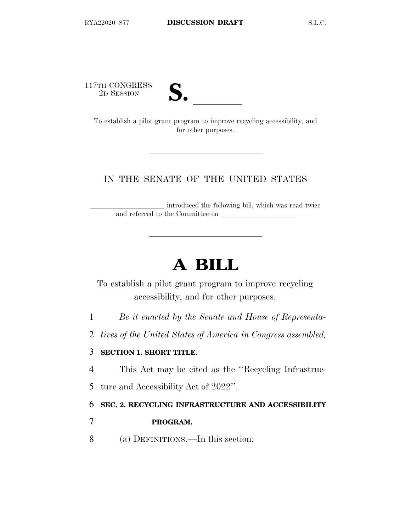117TH CONGRESS<br>2D SESSION



TH CONGRESS<br>
2D SESSION<br>
To establish a pilot grant program to improve recycling accessibility, and for other purposes.

## IN THE SENATE OF THE UNITED STATES

introduced the following bill; which was read twice and referred to the Committee on

# **A BILL**

To establish a pilot grant program to improve recycling accessibility, and for other purposes.

- 1 *Be it enacted by the Senate and House of Representa-*
- 2 *tives of the United States of America in Congress assembled,*

### 3 **SECTION 1. SHORT TITLE.**

- 4 This Act may be cited as the ''Recycling Infrastruc-
- 5 ture and Accessibility Act of 2022''.

#### 6 **SEC. 2. RECYCLING INFRASTRUCTURE AND ACCESSIBILITY**

## 7 **PROGRAM.**

8 (a) DEFINITIONS.—In this section: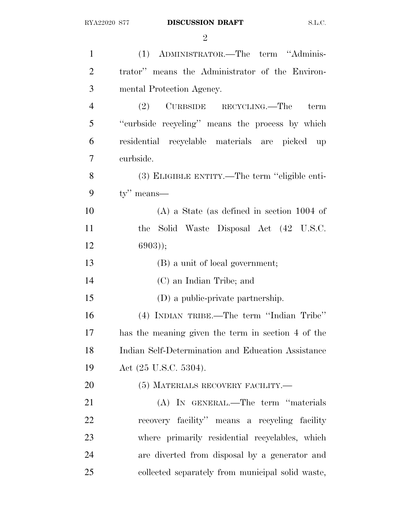| $\mathbf{1}$   | (1) ADMINISTRATOR.—The term "Adminis-                       |
|----------------|-------------------------------------------------------------|
| $\overline{2}$ | trator" means the Administrator of the Environ-             |
| 3              | mental Protection Agency.                                   |
| $\overline{4}$ | (2) CURBSIDE RECYCLING.—The<br>term                         |
| 5              | "curbside recycling" means the process by which             |
| 6              | residential recyclable materials are picked<br>$\mathbf{u}$ |
| 7              | curbside.                                                   |
| 8              | (3) ELIGIBLE ENTITY.—The term "eligible enti-               |
| 9              | $ty''$ means—                                               |
| 10             | $(A)$ a State (as defined in section 1004 of                |
| 11             | the Solid Waste Disposal Act (42 U.S.C.                     |
| 12             | $6903$ );                                                   |
| 13             | (B) a unit of local government;                             |
| 14             | (C) an Indian Tribe; and                                    |
| 15             | (D) a public-private partnership.                           |
| 16             | (4) INDIAN TRIBE.—The term "Indian Tribe"                   |
| 17             | has the meaning given the term in section 4 of the          |
| 18             | Indian Self-Determination and Education Assistance          |
| 19             | Act (25 U.S.C. 5304).                                       |
| 20             | (5) MATERIALS RECOVERY FACILITY.—                           |
| 21             | (A) IN GENERAL.—The term "materials                         |
| 22             | recovery facility" means a recycling facility               |
| 23             | where primarily residential recyclables, which              |
| 24             | are diverted from disposal by a generator and               |
| 25             | collected separately from municipal solid waste,            |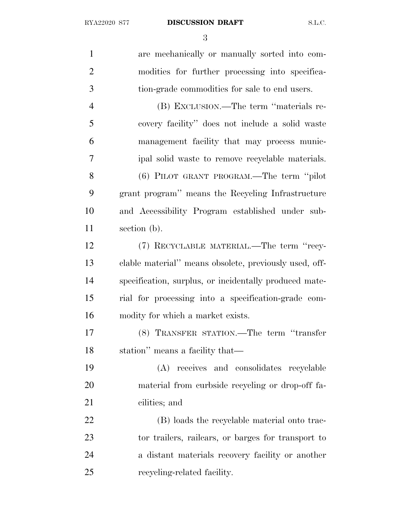are mechanically or manually sorted into com- modities for further processing into specifica- tion-grade commodities for sale to end users. (B) EXCLUSION.—The term ''materials re- covery facility'' does not include a solid waste management facility that may process munic- ipal solid waste to remove recyclable materials. (6) PILOT GRANT PROGRAM.—The term ''pilot grant program'' means the Recycling Infrastructure and Accessibility Program established under sub- section (b). (7) RECYCLABLE MATERIAL.—The term ''recy- clable material'' means obsolete, previously used, off- specification, surplus, or incidentally produced mate- rial for processing into a specification-grade com- modity for which a market exists. (8) TRANSFER STATION.—The term ''transfer station'' means a facility that— (A) receives and consolidates recyclable material from curbside recycling or drop-off fa- cilities; and (B) loads the recyclable material onto trac- tor trailers, railcars, or barges for transport to a distant materials recovery facility or another recycling-related facility.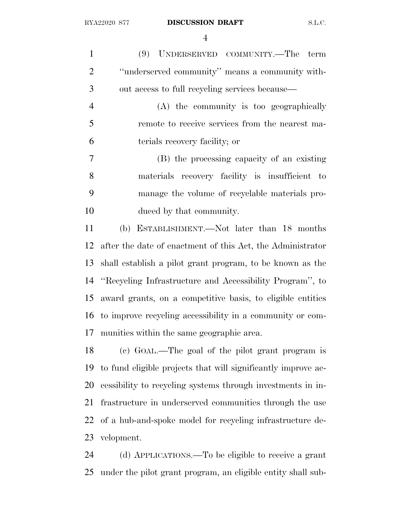(9) UNDERSERVED COMMUNITY.—The term ''underserved community'' means a community with- out access to full recycling services because— (A) the community is too geographically remote to receive services from the nearest ma- terials recovery facility; or (B) the processing capacity of an existing materials recovery facility is insufficient to manage the volume of recyclable materials pro- duced by that community. (b) ESTABLISHMENT.—Not later than 18 months after the date of enactment of this Act, the Administrator shall establish a pilot grant program, to be known as the ''Recycling Infrastructure and Accessibility Program'', to award grants, on a competitive basis, to eligible entities to improve recycling accessibility in a community or com-

munities within the same geographic area.

 (c) GOAL.—The goal of the pilot grant program is to fund eligible projects that will significantly improve ac- cessibility to recycling systems through investments in in- frastructure in underserved communities through the use of a hub-and-spoke model for recycling infrastructure de-velopment.

 (d) APPLICATIONS.—To be eligible to receive a grant under the pilot grant program, an eligible entity shall sub-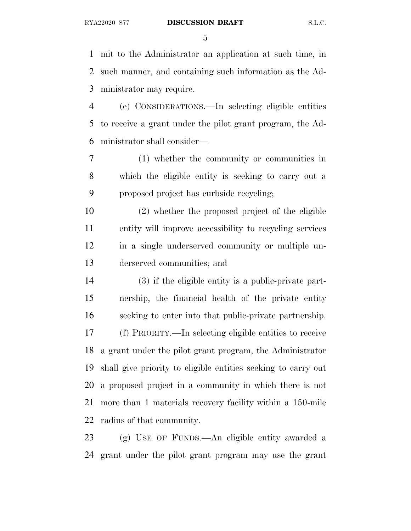#### RYA22020 S77 **DISCUSSION DRAFT** S.L.C.

 mit to the Administrator an application at such time, in such manner, and containing such information as the Ad-ministrator may require.

 (e) CONSIDERATIONS.—In selecting eligible entities to receive a grant under the pilot grant program, the Ad-ministrator shall consider—

 (1) whether the community or communities in which the eligible entity is seeking to carry out a proposed project has curbside recycling;

 (2) whether the proposed project of the eligible entity will improve accessibility to recycling services in a single underserved community or multiple un-derserved communities; and

 (3) if the eligible entity is a public-private part- nership, the financial health of the private entity seeking to enter into that public-private partnership. (f) PRIORITY.—In selecting eligible entities to receive a grant under the pilot grant program, the Administrator shall give priority to eligible entities seeking to carry out a proposed project in a community in which there is not more than 1 materials recovery facility within a 150-mile radius of that community.

 (g) USE OF FUNDS.—An eligible entity awarded a grant under the pilot grant program may use the grant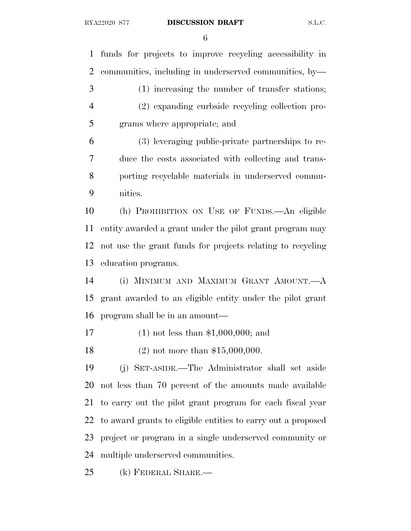funds for projects to improve recycling accessibility in communities, including in underserved communities, by— (1) increasing the number of transfer stations; (2) expanding curbside recycling collection pro- grams where appropriate; and (3) leveraging public-private partnerships to re- duce the costs associated with collecting and trans- porting recyclable materials in underserved commu- nities. (h) PROHIBITION ON USE OF FUNDS.—An eligible entity awarded a grant under the pilot grant program may not use the grant funds for projects relating to recycling education programs. (i) MINIMUM AND MAXIMUM GRANT AMOUNT.—A grant awarded to an eligible entity under the pilot grant program shall be in an amount— (1) not less than \$1,000,000; and (2) not more than \$15,000,000. (j) SET-ASIDE.—The Administrator shall set aside not less than 70 percent of the amounts made available to carry out the pilot grant program for each fiscal year to award grants to eligible entities to carry out a proposed project or program in a single underserved community or multiple underserved communities. (k) FEDERAL SHARE.—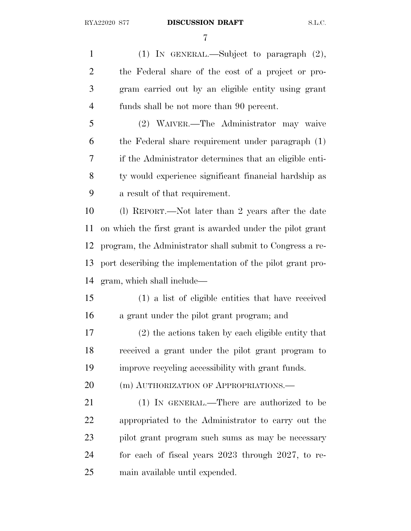(1) IN GENERAL.—Subject to paragraph (2), the Federal share of the cost of a project or pro- gram carried out by an eligible entity using grant funds shall be not more than 90 percent.

 (2) WAIVER.—The Administrator may waive the Federal share requirement under paragraph (1) if the Administrator determines that an eligible enti- ty would experience significant financial hardship as a result of that requirement.

 (l) REPORT.—Not later than 2 years after the date on which the first grant is awarded under the pilot grant program, the Administrator shall submit to Congress a re- port describing the implementation of the pilot grant pro-gram, which shall include—

 (1) a list of eligible entities that have received a grant under the pilot grant program; and

 (2) the actions taken by each eligible entity that received a grant under the pilot grant program to improve recycling accessibility with grant funds.

20 (m) AUTHORIZATION OF APPROPRIATIONS.

 (1) IN GENERAL.—There are authorized to be appropriated to the Administrator to carry out the pilot grant program such sums as may be necessary for each of fiscal years 2023 through 2027, to re-main available until expended.